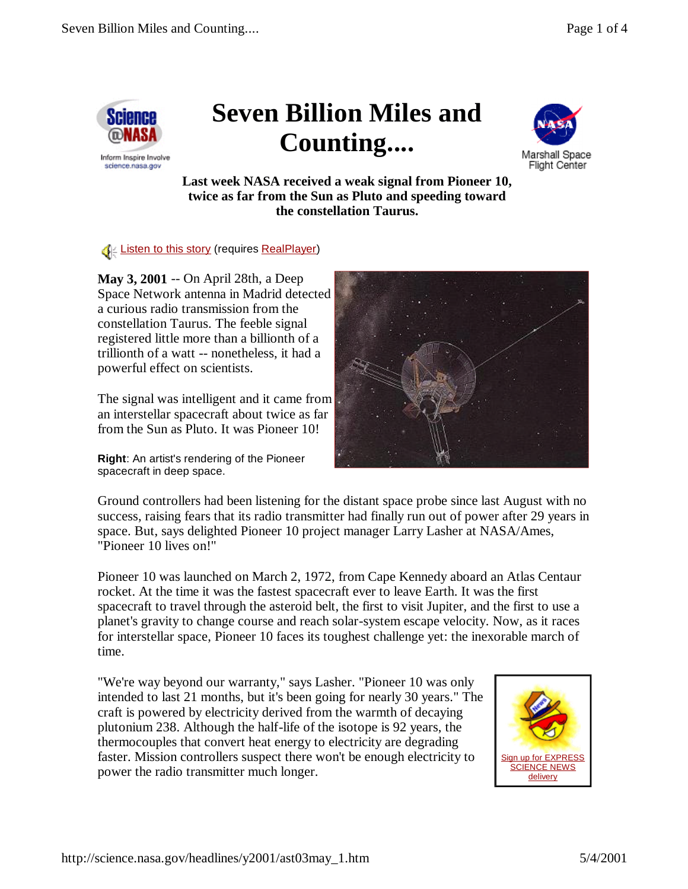

science.nasa.gov

## **Seven Billion Miles and Counting....**



**Last week NASA received a weak signal from Pioneer 10, twice as far from the Sun as Pluto and speeding toward the constellation Taurus.**

**Example 2 Example 2 In the Strate Sear-** (requires RealPlayer)

**May 3, 2001** -- On April 28th, a Deep Space Network antenna in Madrid detected a curious radio transmission from the constellation Taurus. The feeble signal registered little more than a billionth of a trillionth of a watt -- nonetheless, it had a powerful effect on scientists.

The signal was intelligent and it came from an interstellar spacecraft about twice as far from the Sun as Pluto. It was Pioneer 10!

**Right**: An artist's rendering of the Pioneer spacecraft in deep space.



Ground controllers had been listening for the distant space probe since last August with no success, raising fears that its radio transmitter had finally run out of power after 29 years in space. But, says delighted Pioneer 10 project manager Larry Lasher at NASA/Ames, "Pioneer 10 lives on!"

Pioneer 10 was launched on March 2, 1972, from Cape Kennedy aboard an Atlas Centaur rocket. At the time it was the fastest spacecraft ever to leave Earth. It was the first spacecraft to travel through the asteroid belt, the first to visit Jupiter, and the first to use a planet's gravity to change course and reach solar-system escape velocity. Now, as it races for interstellar space, Pioneer 10 faces its toughest challenge yet: the inexorable march of time.

"We're way beyond our warranty," says Lasher. "Pioneer 10 was only intended to last 21 months, but it's been going for nearly 30 years." The craft is powered by electricity derived from the warmth of decaying plutonium 238. Although the half-life of the isotope is 92 years, the thermocouples that convert heat energy to electricity are degrading faster. Mission controllers suspect there won't be enough electricity to power the radio transmitter much longer.

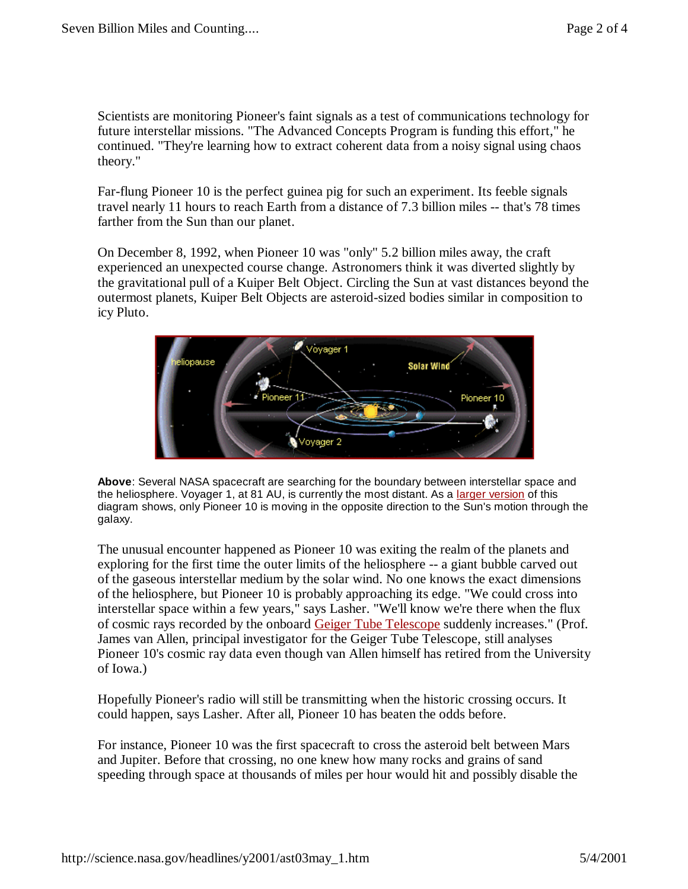Scientists are monitoring Pioneer's faint signals as a test of communications technology for future interstellar missions. "The Advanced Concepts Program is funding this effort," he continued. "They're learning how to extract coherent data from a noisy signal using chaos theory."

Far-flung Pioneer 10 is the perfect guinea pig for such an experiment. Its feeble signals travel nearly 11 hours to reach Earth from a distance of 7.3 billion miles -- that's 78 times farther from the Sun than our planet.

On December 8, 1992, when Pioneer 10 was "only" 5.2 billion miles away, the craft experienced an unexpected course change. Astronomers think it was diverted slightly by the gravitational pull of a Kuiper Belt Object. Circling the Sun at vast distances beyond the outermost planets, Kuiper Belt Objects are asteroid-sized bodies similar in composition to icy Pluto.



**Above**: Several NASA spacecraft are searching for the boundary between interstellar space and the heliosphere. Voyager 1, at 81 AU, is currently the most distant. As a larger version of this diagram shows, only Pioneer 10 is moving in the opposite direction to the Sun's motion through the galaxy.

The unusual encounter happened as Pioneer 10 was exiting the realm of the planets and exploring for the first time the outer limits of the heliosphere -- a giant bubble carved out of the gaseous interstellar medium by the solar wind. No one knows the exact dimensions of the heliosphere, but Pioneer 10 is probably approaching its edge. "We could cross into interstellar space within a few years," says Lasher. "We'll know we're there when the flux of cosmic rays recorded by the onboard Geiger Tube Telescope suddenly increases." (Prof. James van Allen, principal investigator for the Geiger Tube Telescope, still analyses Pioneer 10's cosmic ray data even though van Allen himself has retired from the University of Iowa.)

Hopefully Pioneer's radio will still be transmitting when the historic crossing occurs. It could happen, says Lasher. After all, Pioneer 10 has beaten the odds before.

For instance, Pioneer 10 was the first spacecraft to cross the asteroid belt between Mars and Jupiter. Before that crossing, no one knew how many rocks and grains of sand speeding through space at thousands of miles per hour would hit and possibly disable the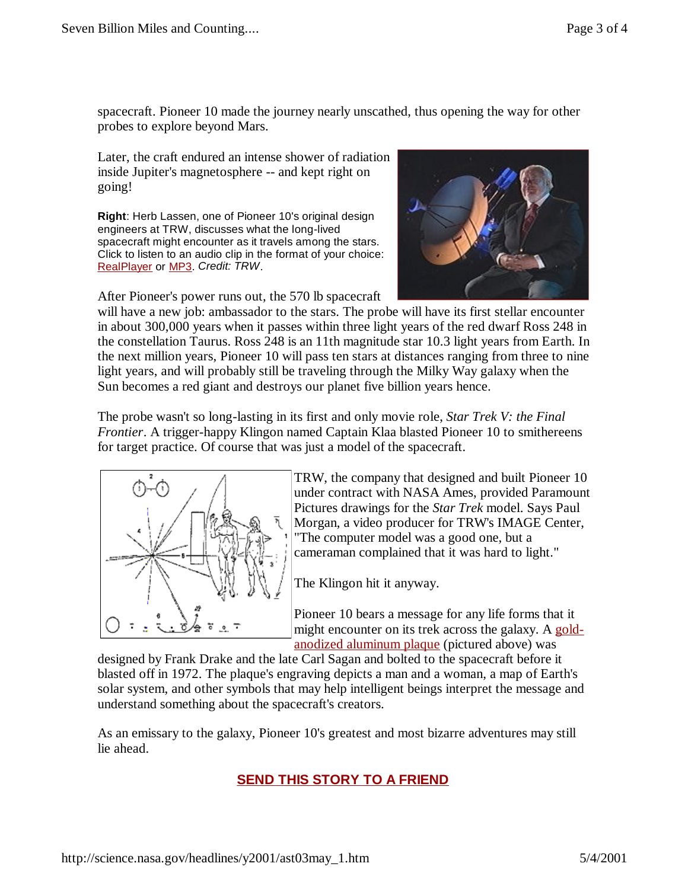spacecraft. Pioneer 10 made the journey nearly unscathed, thus opening the way for other probes to explore beyond Mars.

Later, the craft endured an intense shower of radiation inside Jupiter's magnetosphere -- and kept right on going!

**Right**: Herb Lassen, one of Pioneer 10's original design engineers at TRW, discusses what the long-lived spacecraft might encounter as it travels among the stars. Click to listen to an audio clip in the format of your choice: RealPlayer or MP3. *Credit: TRW*.

After Pioneer's power runs out, the 570 lb spacecraft



will have a new job: ambassador to the stars. The probe will have its first stellar encounter in about 300,000 years when it passes within three light years of the red dwarf Ross 248 in the constellation Taurus. Ross 248 is an 11th magnitude star 10.3 light years from Earth. In the next million years, Pioneer 10 will pass ten stars at distances ranging from three to nine light years, and will probably still be traveling through the Milky Way galaxy when the Sun becomes a red giant and destroys our planet five billion years hence.

The probe wasn't so long-lasting in its first and only movie role, *Star Trek V: the Final Frontier*. A trigger-happy Klingon named Captain Klaa blasted Pioneer 10 to smithereens for target practice. Of course that was just a model of the spacecraft.



TRW, the company that designed and built Pioneer 10 under contract with NASA Ames, provided Paramount Pictures drawings for the *Star Trek* model. Says Paul Morgan, a video producer for TRW's IMAGE Center, "The computer model was a good one, but a cameraman complained that it was hard to light."

The Klingon hit it anyway.

Pioneer 10 bears a message for any life forms that it might encounter on its trek across the galaxy. A goldanodized aluminum plaque (pictured above) was

designed by Frank Drake and the late Carl Sagan and bolted to the spacecraft before it blasted off in 1972. The plaque's engraving depicts a man and a woman, a map of Earth's solar system, and other symbols that may help intelligent beings interpret the message and understand something about the spacecraft's creators.

As an emissary to the galaxy, Pioneer 10's greatest and most bizarre adventures may still lie ahead.

## **SEND THIS STORY TO A FRIEND**